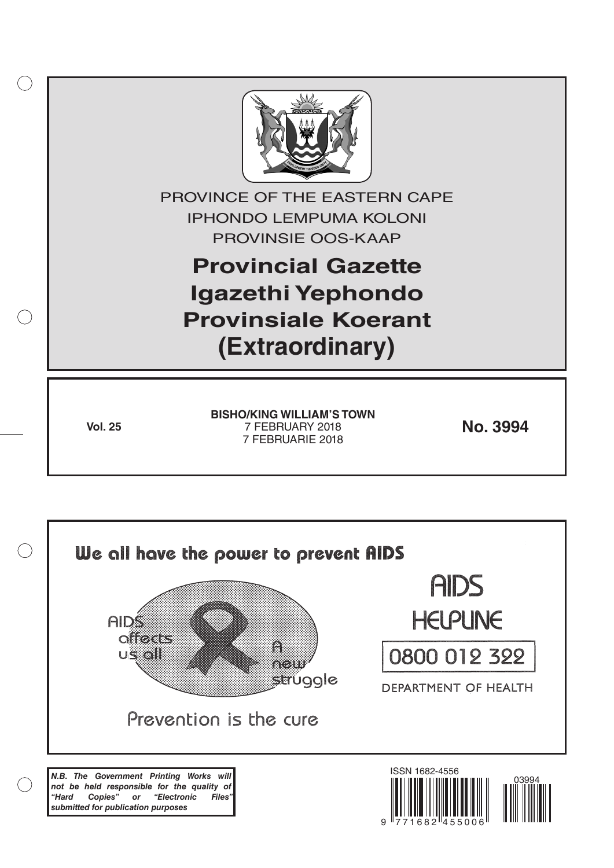

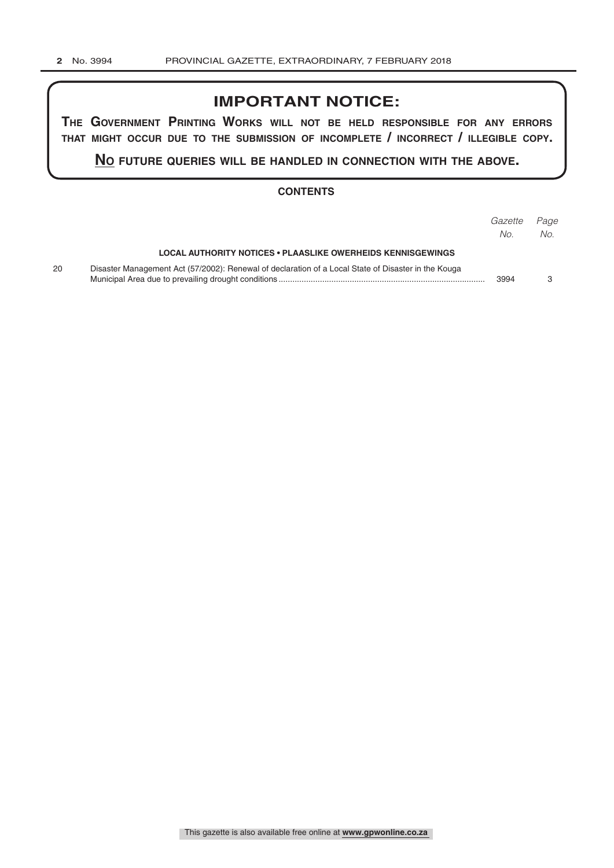## **IMPORTANT NOTICE:**

**The GovernmenT PrinTinG Works Will noT be held resPonsible for any errors ThaT miGhT occur due To The submission of incomPleTe / incorrecT / illeGible coPy.**

**no fuTure queries Will be handled in connecTion WiTh The above.**

### **CONTENTS**

|    |                                                                                                     | Gazette<br>No. | Page<br>No. |
|----|-----------------------------------------------------------------------------------------------------|----------------|-------------|
|    | LOCAL AUTHORITY NOTICES • PLAASLIKE OWERHEIDS KENNISGEWINGS                                         |                |             |
| 20 | Disaster Management Act (57/2002): Renewal of declaration of a Local State of Disaster in the Kouga | 3994           |             |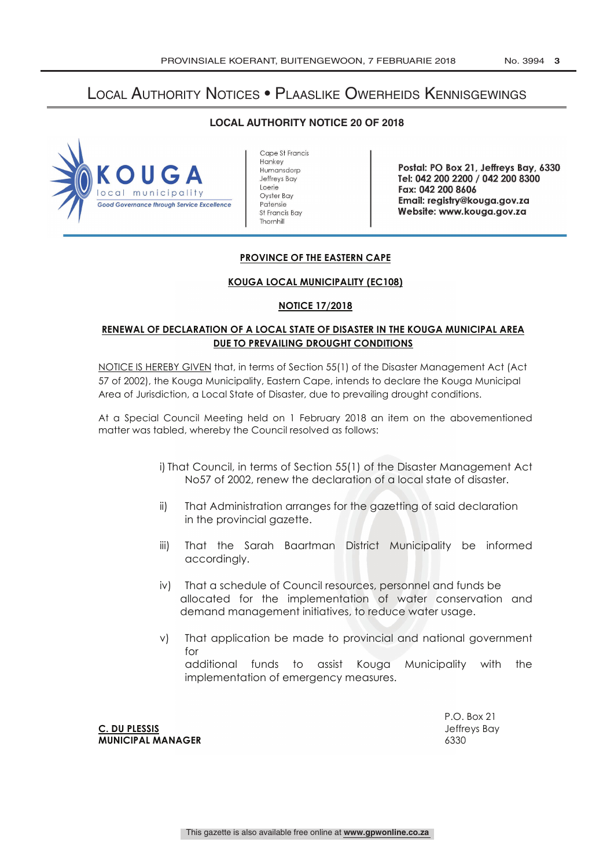# Local Authority Notices • Plaaslike Owerheids Kennisgewings

**LOCAL AUTHORITY NOTICE 20 OF 2018** 



Cape St Francis Hankey Humansdorp Jeffreys Bay Loerie Oyster Bay Patensie St Francis Bay Thornhill

Postal: PO Box 21, Jeffreys Bay, 6330 Tel: 042 200 2200 / 042 200 8300 Fax: 042 200 8606 Email: registry @kouga.gov.za Website: www.kouga.gov.za

### **PROVINCE OF THE EASTERN CAPE**

#### **KOUGA LOCAL MUNICIPALITY (EC108)**

#### **NOTICE 17/2018**

## **RENEWAL OF DECLARATION OF A LOCAL STATE OF DISASTER IN THE KOUGA MUNICIPAL AREA DUE TO PREVAILING DROUGHT CONDITIONS**

NOTICE IS HEREBY GIVEN that, in terms of Section 55(1) of the Disaster Management Act (Act 57 of 2002), the Kouga Municipality, Eastern Cape, intends to declare the Kouga Municipal Area of Jurisdiction, a Local State of Disaster, due to prevailing drought conditions.

At a Special Council Meeting held on 1 February 2018 an item on the abovementioned matter was tabled, whereby the Council resolved as follows:

> i) That Council, in terms of Section 55(1) of the Disaster Management Act No57 of 2002, renew the declaration of a local state of disaster.

- ii) That Administration arranges for the gazetting of said declaration in the provincial gazette.
- iii) That the Sarah Baartman District Municipality be informed accordingly.
- iv) That a schedule of Council resources, personnel and funds be allocated for the implementation of water conservation and demand management initiatives, to reduce water usage.
- v) That application be made to provincial and national government for

additional funds to assist Kouga Municipality with the implementation of emergency measures.

**C. DU PLESSIS C. DU PLESSIS MUNICIPAL MANAGER** 6330

P.O. Box 21